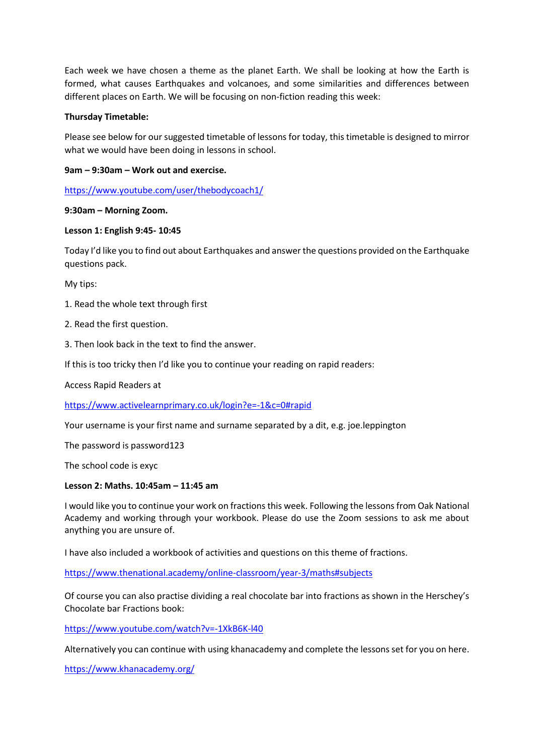Each week we have chosen a theme as the planet Earth. We shall be looking at how the Earth is formed, what causes Earthquakes and volcanoes, and some similarities and differences between different places on Earth. We will be focusing on non-fiction reading this week:

# **Thursday Timetable:**

Please see below for our suggested timetable of lessons for today, this timetable is designed to mirror what we would have been doing in lessons in school.

# **9am – 9:30am – Work out and exercise.**

<https://www.youtube.com/user/thebodycoach1/>

### **9:30am – Morning Zoom.**

### **Lesson 1: English 9:45- 10:45**

Today I'd like you to find out about Earthquakes and answer the questions provided on the Earthquake questions pack.

My tips:

- 1. Read the whole text through first
- 2. Read the first question.
- 3. Then look back in the text to find the answer.

If this is too tricky then I'd like you to continue your reading on rapid readers:

Access Rapid Readers at

<https://www.activelearnprimary.co.uk/login?e=-1&c=0#rapid>

Your username is your first name and surname separated by a dit, e.g. joe.leppington

The password is password123

The school code is exyc

### **Lesson 2: Maths. 10:45am – 11:45 am**

I would like you to continue your work on fractions this week. Following the lessons from Oak National Academy and working through your workbook. Please do use the Zoom sessions to ask me about anything you are unsure of.

I have also included a workbook of activities and questions on this theme of fractions.

<https://www.thenational.academy/online-classroom/year-3/maths#subjects>

Of course you can also practise dividing a real chocolate bar into fractions as shown in the Herschey's Chocolate bar Fractions book:

<https://www.youtube.com/watch?v=-1XkB6K-l40>

Alternatively you can continue with using khanacademy and complete the lessons set for you on here.

<https://www.khanacademy.org/>